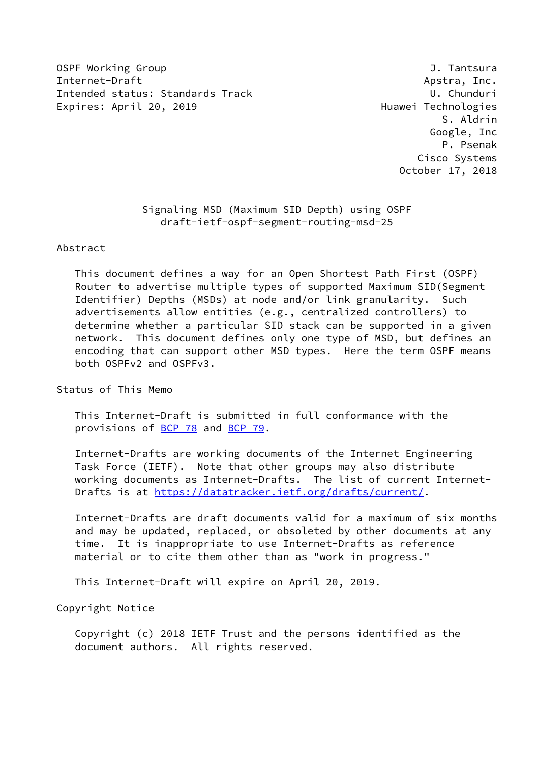OSPF Working Group **J. Tantsura** Internet-Draft Apstra, Inc. Intended status: Standards Track U. Chunduri Expires: April 20, 2019 **Expires: April 20, 2019** 

 S. Aldrin Google, Inc P. Psenak Cisco Systems October 17, 2018

> Signaling MSD (Maximum SID Depth) using OSPF draft-ietf-ospf-segment-routing-msd-25

#### Abstract

 This document defines a way for an Open Shortest Path First (OSPF) Router to advertise multiple types of supported Maximum SID(Segment Identifier) Depths (MSDs) at node and/or link granularity. Such advertisements allow entities (e.g., centralized controllers) to determine whether a particular SID stack can be supported in a given network. This document defines only one type of MSD, but defines an encoding that can support other MSD types. Here the term OSPF means both OSPFv2 and OSPFv3.

Status of This Memo

 This Internet-Draft is submitted in full conformance with the provisions of [BCP 78](https://datatracker.ietf.org/doc/pdf/bcp78) and [BCP 79](https://datatracker.ietf.org/doc/pdf/bcp79).

 Internet-Drafts are working documents of the Internet Engineering Task Force (IETF). Note that other groups may also distribute working documents as Internet-Drafts. The list of current Internet- Drafts is at<https://datatracker.ietf.org/drafts/current/>.

 Internet-Drafts are draft documents valid for a maximum of six months and may be updated, replaced, or obsoleted by other documents at any time. It is inappropriate to use Internet-Drafts as reference material or to cite them other than as "work in progress."

This Internet-Draft will expire on April 20, 2019.

Copyright Notice

 Copyright (c) 2018 IETF Trust and the persons identified as the document authors. All rights reserved.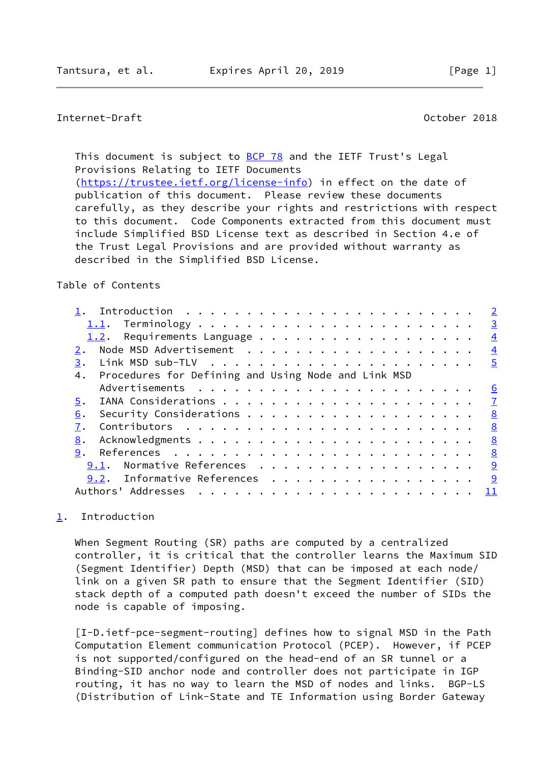# <span id="page-1-1"></span>Internet-Draft October 2018

This document is subject to [BCP 78](https://datatracker.ietf.org/doc/pdf/bcp78) and the IETF Trust's Legal Provisions Relating to IETF Documents [\(https://trustee.ietf.org/license-info](https://trustee.ietf.org/license-info)) in effect on the date of publication of this document. Please review these documents carefully, as they describe your rights and restrictions with respect to this document. Code Components extracted from this document must include Simplified BSD License text as described in Section 4.e of the Trust Legal Provisions and are provided without warranty as described in the Simplified BSD License.

### Table of Contents

|                                                           | $\overline{2}$  |
|-----------------------------------------------------------|-----------------|
|                                                           | $\overline{3}$  |
| 1.2.                                                      | $\overline{4}$  |
|                                                           | $\overline{4}$  |
| 3.                                                        | $\overline{5}$  |
| Procedures for Defining and Using Node and Link MSD<br>4. |                 |
|                                                           | $\underline{6}$ |
| 5.                                                        | $\overline{7}$  |
| 6.                                                        | 8               |
|                                                           | <u>8</u>        |
| 8.                                                        | 8               |
| 9.                                                        | 8               |
| Normative References<br>9.1.                              | 9               |
| Informative References<br>9.2.                            | 9               |
| Authors' Addresses                                        |                 |
|                                                           |                 |

# <span id="page-1-0"></span>[1](#page-1-0). Introduction

 When Segment Routing (SR) paths are computed by a centralized controller, it is critical that the controller learns the Maximum SID (Segment Identifier) Depth (MSD) that can be imposed at each node/ link on a given SR path to ensure that the Segment Identifier (SID) stack depth of a computed path doesn't exceed the number of SIDs the node is capable of imposing.

 [I-D.ietf-pce-segment-routing] defines how to signal MSD in the Path Computation Element communication Protocol (PCEP). However, if PCEP is not supported/configured on the head-end of an SR tunnel or a Binding-SID anchor node and controller does not participate in IGP routing, it has no way to learn the MSD of nodes and links. BGP-LS (Distribution of Link-State and TE Information using Border Gateway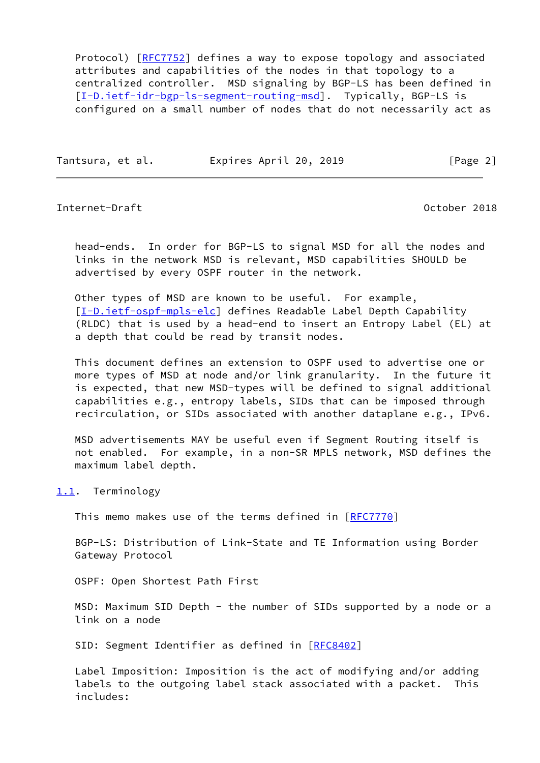Protocol) [[RFC7752](https://datatracker.ietf.org/doc/pdf/rfc7752)] defines a way to expose topology and associated attributes and capabilities of the nodes in that topology to a centralized controller. MSD signaling by BGP-LS has been defined in [\[I-D.ietf-idr-bgp-ls-segment-routing-msd](#page-10-0)]. Typically, BGP-LS is configured on a small number of nodes that do not necessarily act as

Tantsura, et al. Expires April 20, 2019 [Page 2]

<span id="page-2-1"></span>Internet-Draft October 2018

 head-ends. In order for BGP-LS to signal MSD for all the nodes and links in the network MSD is relevant, MSD capabilities SHOULD be advertised by every OSPF router in the network.

 Other types of MSD are known to be useful. For example, [\[I-D.ietf-ospf-mpls-elc](#page-10-1)] defines Readable Label Depth Capability (RLDC) that is used by a head-end to insert an Entropy Label (EL) at a depth that could be read by transit nodes.

 This document defines an extension to OSPF used to advertise one or more types of MSD at node and/or link granularity. In the future it is expected, that new MSD-types will be defined to signal additional capabilities e.g., entropy labels, SIDs that can be imposed through recirculation, or SIDs associated with another dataplane e.g., IPv6.

 MSD advertisements MAY be useful even if Segment Routing itself is not enabled. For example, in a non-SR MPLS network, MSD defines the maximum label depth.

<span id="page-2-0"></span>[1.1](#page-2-0). Terminology

This memo makes use of the terms defined in [\[RFC7770](https://datatracker.ietf.org/doc/pdf/rfc7770)]

 BGP-LS: Distribution of Link-State and TE Information using Border Gateway Protocol

OSPF: Open Shortest Path First

MSD: Maximum SID Depth - the number of SIDs supported by a node or a link on a node

SID: Segment Identifier as defined in [[RFC8402](https://datatracker.ietf.org/doc/pdf/rfc8402)]

 Label Imposition: Imposition is the act of modifying and/or adding labels to the outgoing label stack associated with a packet. This includes: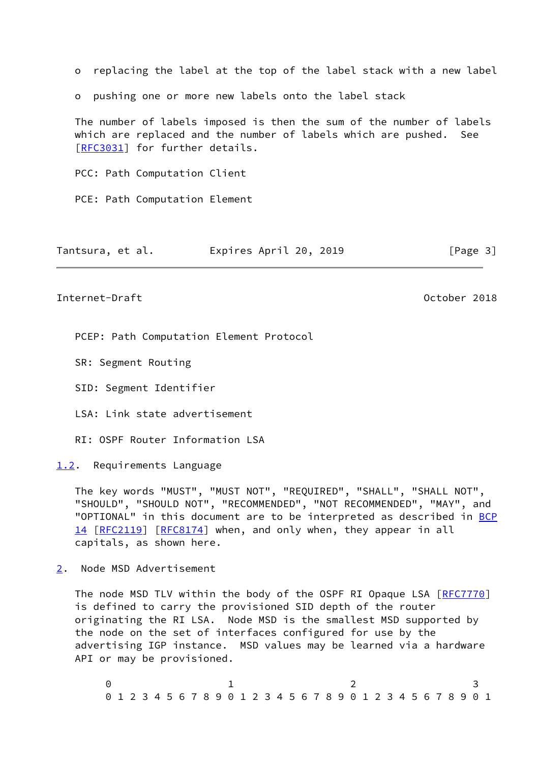o replacing the label at the top of the label stack with a new label o pushing one or more new labels onto the label stack The number of labels imposed is then the sum of the number of labels which are replaced and the number of labels which are pushed. See [\[RFC3031](https://datatracker.ietf.org/doc/pdf/rfc3031)] for further details. PCC: Path Computation Client PCE: Path Computation Element

| Tantsura, et al. | Expires April 20, 2019 | [Page 3] |
|------------------|------------------------|----------|
|------------------|------------------------|----------|

<span id="page-3-1"></span>Internet-Draft October 2018

PCEP: Path Computation Element Protocol

SR: Segment Routing

SID: Segment Identifier

LSA: Link state advertisement

RI: OSPF Router Information LSA

<span id="page-3-0"></span>[1.2](#page-3-0). Requirements Language

 The key words "MUST", "MUST NOT", "REQUIRED", "SHALL", "SHALL NOT", "SHOULD", "SHOULD NOT", "RECOMMENDED", "NOT RECOMMENDED", "MAY", and "OPTIONAL" in this document are to be interpreted as described in [BCP](https://datatracker.ietf.org/doc/pdf/bcp14) [14](https://datatracker.ietf.org/doc/pdf/bcp14) [[RFC2119\]](https://datatracker.ietf.org/doc/pdf/rfc2119) [\[RFC8174](https://datatracker.ietf.org/doc/pdf/rfc8174)] when, and only when, they appear in all capitals, as shown here.

<span id="page-3-2"></span>[2](#page-3-2). Node MSD Advertisement

The node MSD TLV within the body of the OSPF RI Opaque LSA [[RFC7770\]](https://datatracker.ietf.org/doc/pdf/rfc7770) is defined to carry the provisioned SID depth of the router originating the RI LSA. Node MSD is the smallest MSD supported by the node on the set of interfaces configured for use by the advertising IGP instance. MSD values may be learned via a hardware API or may be provisioned.

 $0$  1 2 3 0 1 2 3 4 5 6 7 8 9 0 1 2 3 4 5 6 7 8 9 0 1 2 3 4 5 6 7 8 9 0 1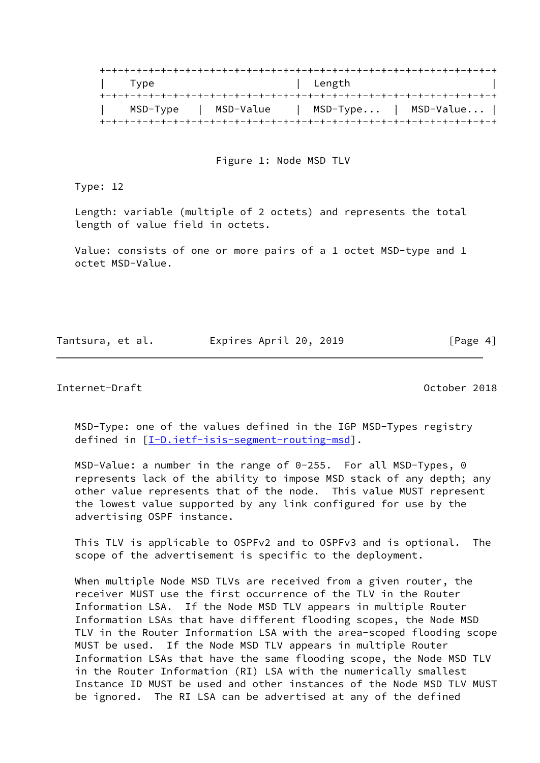| Type     |           | Length |                          |
|----------|-----------|--------|--------------------------|
|          |           |        |                          |
| MSD-Type | MSD-Value |        | $MSD-Type$   $MSD-Value$ |
|          |           |        |                          |

Figure 1: Node MSD TLV

Type: 12

 Length: variable (multiple of 2 octets) and represents the total length of value field in octets.

 Value: consists of one or more pairs of a 1 octet MSD-type and 1 octet MSD-Value.

Tantsura, et al. Expires April 20, 2019 [Page 4]

<span id="page-4-0"></span>Internet-Draft October 2018

 MSD-Type: one of the values defined in the IGP MSD-Types registry defined in [[I-D.ietf-isis-segment-routing-msd\]](#page-9-3).

 MSD-Value: a number in the range of 0-255. For all MSD-Types, 0 represents lack of the ability to impose MSD stack of any depth; any other value represents that of the node. This value MUST represent the lowest value supported by any link configured for use by the advertising OSPF instance.

 This TLV is applicable to OSPFv2 and to OSPFv3 and is optional. The scope of the advertisement is specific to the deployment.

 When multiple Node MSD TLVs are received from a given router, the receiver MUST use the first occurrence of the TLV in the Router Information LSA. If the Node MSD TLV appears in multiple Router Information LSAs that have different flooding scopes, the Node MSD TLV in the Router Information LSA with the area-scoped flooding scope MUST be used. If the Node MSD TLV appears in multiple Router Information LSAs that have the same flooding scope, the Node MSD TLV in the Router Information (RI) LSA with the numerically smallest Instance ID MUST be used and other instances of the Node MSD TLV MUST be ignored. The RI LSA can be advertised at any of the defined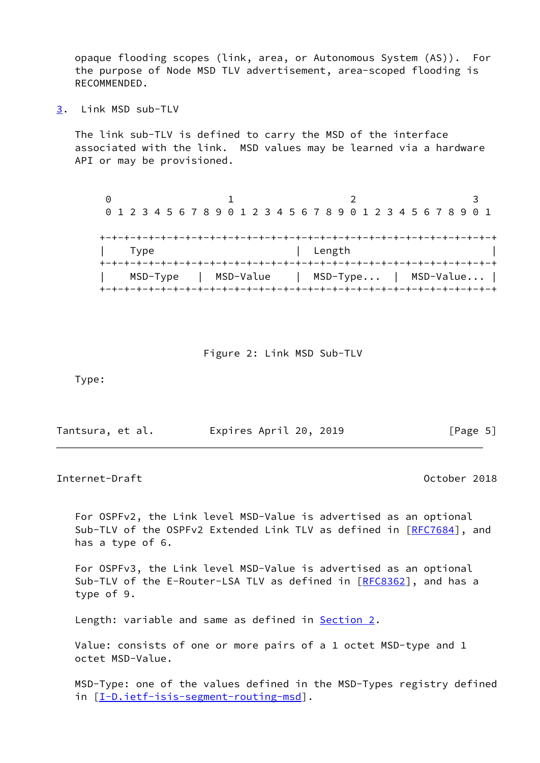opaque flooding scopes (link, area, or Autonomous System (AS)). For the purpose of Node MSD TLV advertisement, area-scoped flooding is RECOMMENDED.

<span id="page-5-0"></span>[3](#page-5-0). Link MSD sub-TLV

 The link sub-TLV is defined to carry the MSD of the interface associated with the link. MSD values may be learned via a hardware API or may be provisioned.

| 0 1 2 3 4 5 6 7 8 9 0 1 2 3 4 5 6 7 8 9 0 1 2 3 4 5 6 7 8 9 0 1 |      |                      |  |  |  |  |  |  |        |  |  |  |  |  |  |                          |
|-----------------------------------------------------------------|------|----------------------|--|--|--|--|--|--|--------|--|--|--|--|--|--|--------------------------|
|                                                                 |      |                      |  |  |  |  |  |  |        |  |  |  |  |  |  |                          |
|                                                                 | Type |                      |  |  |  |  |  |  | Length |  |  |  |  |  |  |                          |
|                                                                 |      |                      |  |  |  |  |  |  |        |  |  |  |  |  |  |                          |
|                                                                 |      | MSD-Type   MSD-Value |  |  |  |  |  |  |        |  |  |  |  |  |  | $MSD-Type$   $MSD-Value$ |
|                                                                 |      |                      |  |  |  |  |  |  |        |  |  |  |  |  |  |                          |

#### Figure 2: Link MSD Sub-TLV

Type:

| Tantsura, et al. | Expires April 20, 2019 | [Page 5] |
|------------------|------------------------|----------|
|------------------|------------------------|----------|

#### <span id="page-5-1"></span>Internet-Draft October 2018

 For OSPFv2, the Link level MSD-Value is advertised as an optional Sub-TLV of the OSPFv2 Extended Link TLV as defined in [[RFC7684](https://datatracker.ietf.org/doc/pdf/rfc7684)], and has a type of 6.

 For OSPFv3, the Link level MSD-Value is advertised as an optional Sub-TLV of the E-Router-LSA TLV as defined in [[RFC8362](https://datatracker.ietf.org/doc/pdf/rfc8362)], and has a type of 9.

Length: variable and same as defined in **Section 2.** 

 Value: consists of one or more pairs of a 1 octet MSD-type and 1 octet MSD-Value.

 MSD-Type: one of the values defined in the MSD-Types registry defined in [[I-D.ietf-isis-segment-routing-msd\]](#page-9-3).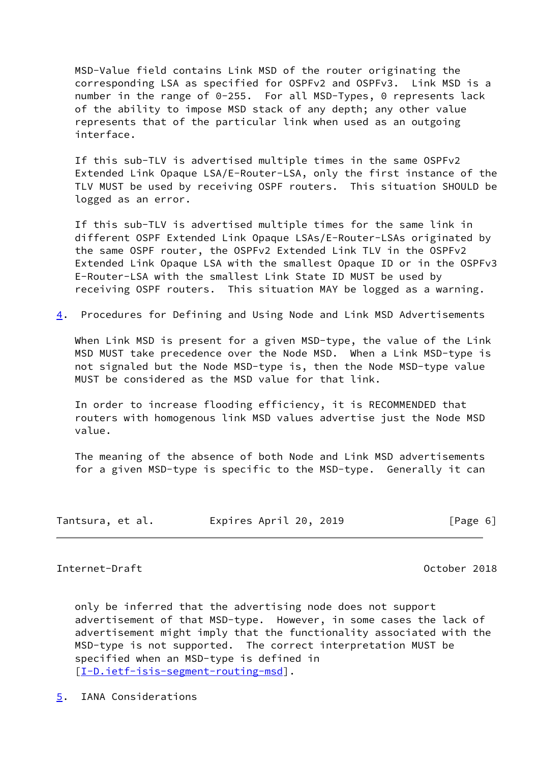MSD-Value field contains Link MSD of the router originating the corresponding LSA as specified for OSPFv2 and OSPFv3. Link MSD is a number in the range of 0-255. For all MSD-Types, 0 represents lack of the ability to impose MSD stack of any depth; any other value represents that of the particular link when used as an outgoing interface.

 If this sub-TLV is advertised multiple times in the same OSPFv2 Extended Link Opaque LSA/E-Router-LSA, only the first instance of the TLV MUST be used by receiving OSPF routers. This situation SHOULD be logged as an error.

 If this sub-TLV is advertised multiple times for the same link in different OSPF Extended Link Opaque LSAs/E-Router-LSAs originated by the same OSPF router, the OSPFv2 Extended Link TLV in the OSPFv2 Extended Link Opaque LSA with the smallest Opaque ID or in the OSPFv3 E-Router-LSA with the smallest Link State ID MUST be used by receiving OSPF routers. This situation MAY be logged as a warning.

<span id="page-6-2"></span>[4](#page-6-2). Procedures for Defining and Using Node and Link MSD Advertisements

 When Link MSD is present for a given MSD-type, the value of the Link MSD MUST take precedence over the Node MSD. When a Link MSD-type is not signaled but the Node MSD-type is, then the Node MSD-type value MUST be considered as the MSD value for that link.

 In order to increase flooding efficiency, it is RECOMMENDED that routers with homogenous link MSD values advertise just the Node MSD value.

 The meaning of the absence of both Node and Link MSD advertisements for a given MSD-type is specific to the MSD-type. Generally it can

| Tantsura, et al. | Expires April 20, 2019 | [Page 6] |
|------------------|------------------------|----------|
|------------------|------------------------|----------|

### <span id="page-6-1"></span>Internet-Draft October 2018

 only be inferred that the advertising node does not support advertisement of that MSD-type. However, in some cases the lack of advertisement might imply that the functionality associated with the MSD-type is not supported. The correct interpretation MUST be specified when an MSD-type is defined in [\[I-D.ietf-isis-segment-routing-msd](#page-9-3)].

<span id="page-6-0"></span>[5](#page-6-0). IANA Considerations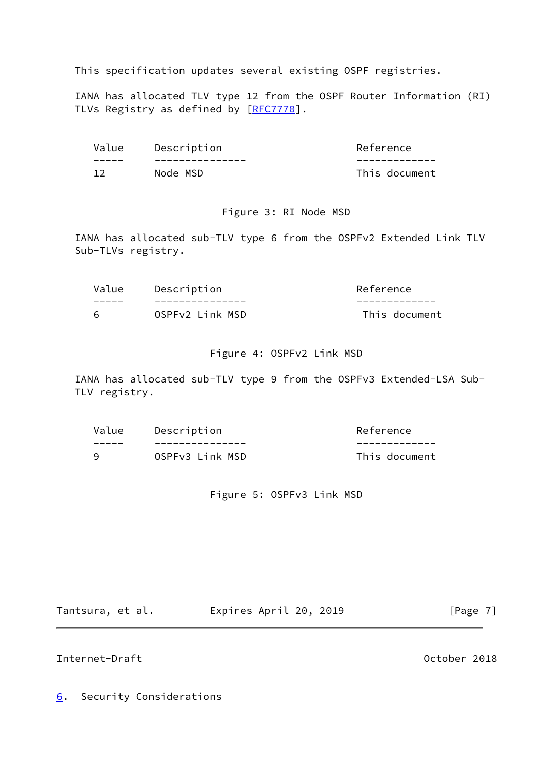This specification updates several existing OSPF registries.

 IANA has allocated TLV type 12 from the OSPF Router Information (RI) TLVs Registry as defined by [\[RFC7770](https://datatracker.ietf.org/doc/pdf/rfc7770)].

| Value | Description | Reference     |
|-------|-------------|---------------|
|       |             |               |
|       | Node MSD    | This document |

## Figure 3: RI Node MSD

 IANA has allocated sub-TLV type 6 from the OSPFv2 Extended Link TLV Sub-TLVs registry.

| Value | Description     | Reference     |
|-------|-----------------|---------------|
|       |                 |               |
| 6     | OSPFv2 Link MSD | This document |

# Figure 4: OSPFv2 Link MSD

 IANA has allocated sub-TLV type 9 from the OSPFv3 Extended-LSA Sub- TLV registry.

| Value | Description     | Reference     |
|-------|-----------------|---------------|
|       |                 |               |
| q     | OSPFv3 Link MSD | This document |

# Figure 5: OSPFv3 Link MSD

Tantsura, et al. Expires April 20, 2019 [Page 7]

# <span id="page-7-1"></span>Internet-Draft October 2018

<span id="page-7-0"></span>[6](#page-7-0). Security Considerations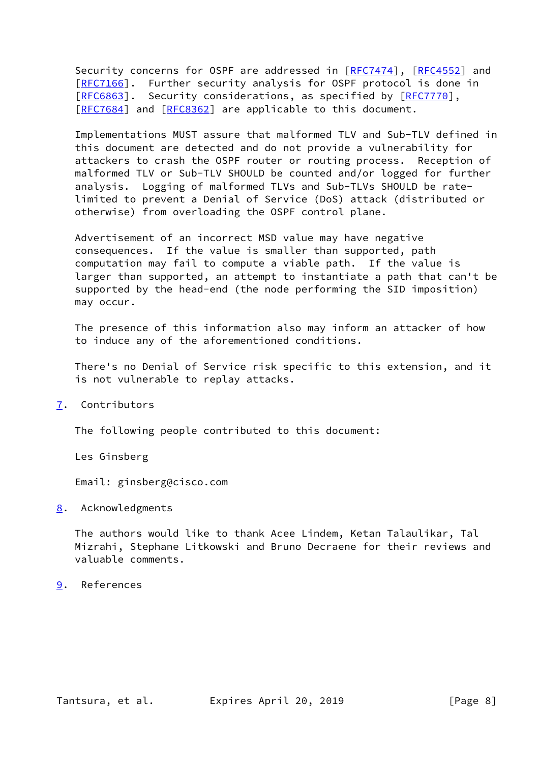Security concerns for OSPF are addressed in [\[RFC7474](https://datatracker.ietf.org/doc/pdf/rfc7474)], [\[RFC4552](https://datatracker.ietf.org/doc/pdf/rfc4552)] and [\[RFC7166](https://datatracker.ietf.org/doc/pdf/rfc7166)]. Further security analysis for OSPF protocol is done in [\[RFC6863](https://datatracker.ietf.org/doc/pdf/rfc6863)]. Security considerations, as specified by [\[RFC7770](https://datatracker.ietf.org/doc/pdf/rfc7770)], [\[RFC7684](https://datatracker.ietf.org/doc/pdf/rfc7684)] and [[RFC8362](https://datatracker.ietf.org/doc/pdf/rfc8362)] are applicable to this document.

 Implementations MUST assure that malformed TLV and Sub-TLV defined in this document are detected and do not provide a vulnerability for attackers to crash the OSPF router or routing process. Reception of malformed TLV or Sub-TLV SHOULD be counted and/or logged for further analysis. Logging of malformed TLVs and Sub-TLVs SHOULD be rate limited to prevent a Denial of Service (DoS) attack (distributed or otherwise) from overloading the OSPF control plane.

 Advertisement of an incorrect MSD value may have negative consequences. If the value is smaller than supported, path computation may fail to compute a viable path. If the value is larger than supported, an attempt to instantiate a path that can't be supported by the head-end (the node performing the SID imposition) may occur.

 The presence of this information also may inform an attacker of how to induce any of the aforementioned conditions.

 There's no Denial of Service risk specific to this extension, and it is not vulnerable to replay attacks.

<span id="page-8-0"></span>[7](#page-8-0). Contributors

The following people contributed to this document:

Les Ginsberg

Email: ginsberg@cisco.com

<span id="page-8-1"></span>[8](#page-8-1). Acknowledgments

 The authors would like to thank Acee Lindem, Ketan Talaulikar, Tal Mizrahi, Stephane Litkowski and Bruno Decraene for their reviews and valuable comments.

<span id="page-8-2"></span>[9](#page-8-2). References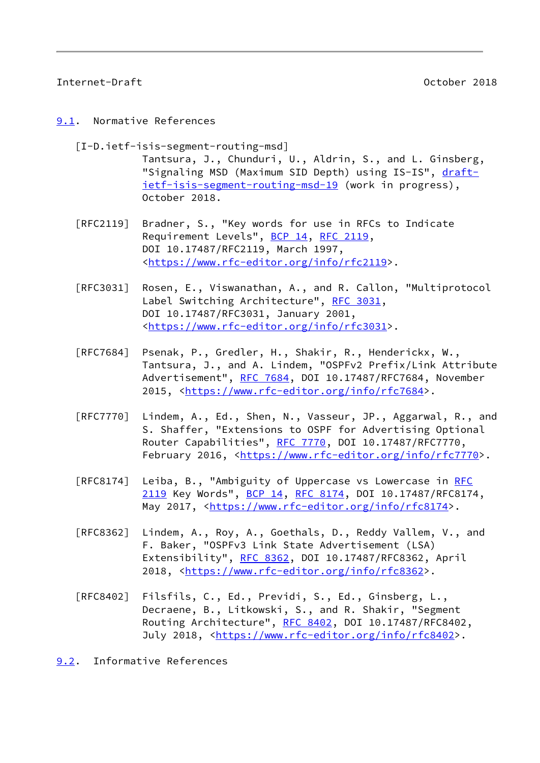## <span id="page-9-1"></span>Internet-Draft October 2018

#### <span id="page-9-0"></span>[9.1](#page-9-0). Normative References

<span id="page-9-3"></span> [I-D.ietf-isis-segment-routing-msd] Tantsura, J., Chunduri, U., Aldrin, S., and L. Ginsberg, "Signaling MSD (Maximum SID Depth) using IS-IS", [draft](https://datatracker.ietf.org/doc/pdf/draft-ietf-isis-segment-routing-msd-19) [ietf-isis-segment-routing-msd-19](https://datatracker.ietf.org/doc/pdf/draft-ietf-isis-segment-routing-msd-19) (work in progress), October 2018.

- [RFC2119] Bradner, S., "Key words for use in RFCs to Indicate Requirement Levels", [BCP 14](https://datatracker.ietf.org/doc/pdf/bcp14), [RFC 2119](https://datatracker.ietf.org/doc/pdf/rfc2119), DOI 10.17487/RFC2119, March 1997, <[https://www.rfc-editor.org/info/rfc2119>](https://www.rfc-editor.org/info/rfc2119).
- [RFC3031] Rosen, E., Viswanathan, A., and R. Callon, "Multiprotocol Label Switching Architecture", [RFC 3031](https://datatracker.ietf.org/doc/pdf/rfc3031), DOI 10.17487/RFC3031, January 2001, <[https://www.rfc-editor.org/info/rfc3031>](https://www.rfc-editor.org/info/rfc3031).
- [RFC7684] Psenak, P., Gredler, H., Shakir, R., Henderickx, W., Tantsura, J., and A. Lindem, "OSPFv2 Prefix/Link Attribute Advertisement", [RFC 7684,](https://datatracker.ietf.org/doc/pdf/rfc7684) DOI 10.17487/RFC7684, November 2015, [<https://www.rfc-editor.org/info/rfc7684](https://www.rfc-editor.org/info/rfc7684)>.
- [RFC7770] Lindem, A., Ed., Shen, N., Vasseur, JP., Aggarwal, R., and S. Shaffer, "Extensions to OSPF for Advertising Optional Router Capabilities", [RFC 7770](https://datatracker.ietf.org/doc/pdf/rfc7770), DOI 10.17487/RFC7770, February 2016, <<https://www.rfc-editor.org/info/rfc7770>>.
- [RFC8174] Leiba, B., "Ambiguity of Uppercase vs Lowercase in [RFC](https://datatracker.ietf.org/doc/pdf/rfc2119) [2119](https://datatracker.ietf.org/doc/pdf/rfc2119) Key Words", [BCP 14](https://datatracker.ietf.org/doc/pdf/bcp14), [RFC 8174,](https://datatracker.ietf.org/doc/pdf/rfc8174) DOI 10.17487/RFC8174, May 2017, [<https://www.rfc-editor.org/info/rfc8174](https://www.rfc-editor.org/info/rfc8174)>.
- [RFC8362] Lindem, A., Roy, A., Goethals, D., Reddy Vallem, V., and F. Baker, "OSPFv3 Link State Advertisement (LSA) Extensibility", [RFC 8362,](https://datatracker.ietf.org/doc/pdf/rfc8362) DOI 10.17487/RFC8362, April 2018, [<https://www.rfc-editor.org/info/rfc8362](https://www.rfc-editor.org/info/rfc8362)>.
- [RFC8402] Filsfils, C., Ed., Previdi, S., Ed., Ginsberg, L., Decraene, B., Litkowski, S., and R. Shakir, "Segment Routing Architecture", [RFC 8402](https://datatracker.ietf.org/doc/pdf/rfc8402), DOI 10.17487/RFC8402, July 2018, <<https://www.rfc-editor.org/info/rfc8402>>.
- <span id="page-9-2"></span>[9.2](#page-9-2). Informative References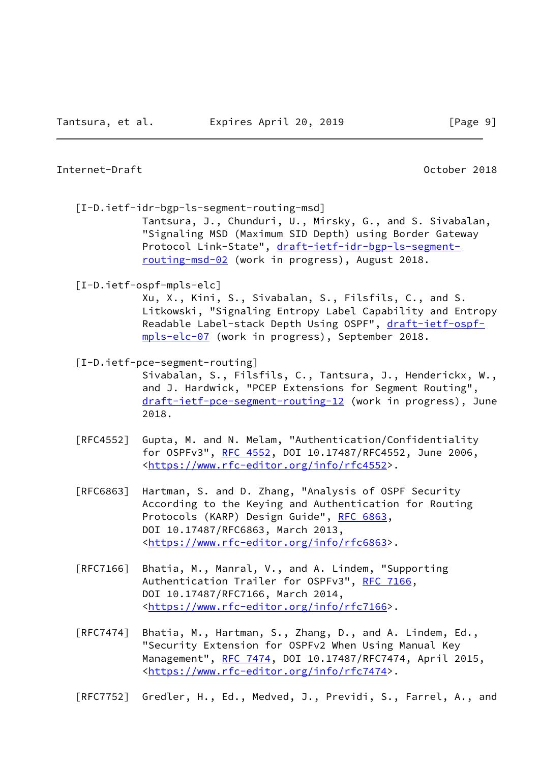#### Internet-Draft October 2018

<span id="page-10-0"></span>[I-D.ietf-idr-bgp-ls-segment-routing-msd]

 Tantsura, J., Chunduri, U., Mirsky, G., and S. Sivabalan, "Signaling MSD (Maximum SID Depth) using Border Gateway Protocol Link-State", [draft-ietf-idr-bgp-ls-segment](https://datatracker.ietf.org/doc/pdf/draft-ietf-idr-bgp-ls-segment-routing-msd-02) [routing-msd-02](https://datatracker.ietf.org/doc/pdf/draft-ietf-idr-bgp-ls-segment-routing-msd-02) (work in progress), August 2018.

## <span id="page-10-1"></span>[I-D.ietf-ospf-mpls-elc]

 Xu, X., Kini, S., Sivabalan, S., Filsfils, C., and S. Litkowski, "Signaling Entropy Label Capability and Entropy Readable Label-stack Depth Using OSPF", [draft-ietf-ospf](https://datatracker.ietf.org/doc/pdf/draft-ietf-ospf-mpls-elc-07) [mpls-elc-07](https://datatracker.ietf.org/doc/pdf/draft-ietf-ospf-mpls-elc-07) (work in progress), September 2018.

[I-D.ietf-pce-segment-routing]

 Sivabalan, S., Filsfils, C., Tantsura, J., Henderickx, W., and J. Hardwick, "PCEP Extensions for Segment Routing", [draft-ietf-pce-segment-routing-12](https://datatracker.ietf.org/doc/pdf/draft-ietf-pce-segment-routing-12) (work in progress), June 2018.

- [RFC4552] Gupta, M. and N. Melam, "Authentication/Confidentiality for OSPFv3", [RFC 4552](https://datatracker.ietf.org/doc/pdf/rfc4552), DOI 10.17487/RFC4552, June 2006, <[https://www.rfc-editor.org/info/rfc4552>](https://www.rfc-editor.org/info/rfc4552).
- [RFC6863] Hartman, S. and D. Zhang, "Analysis of OSPF Security According to the Keying and Authentication for Routing Protocols (KARP) Design Guide", [RFC 6863,](https://datatracker.ietf.org/doc/pdf/rfc6863) DOI 10.17487/RFC6863, March 2013, <[https://www.rfc-editor.org/info/rfc6863>](https://www.rfc-editor.org/info/rfc6863).
- [RFC7166] Bhatia, M., Manral, V., and A. Lindem, "Supporting Authentication Trailer for OSPFv3", [RFC 7166,](https://datatracker.ietf.org/doc/pdf/rfc7166) DOI 10.17487/RFC7166, March 2014, <[https://www.rfc-editor.org/info/rfc7166>](https://www.rfc-editor.org/info/rfc7166).
- [RFC7474] Bhatia, M., Hartman, S., Zhang, D., and A. Lindem, Ed., "Security Extension for OSPFv2 When Using Manual Key Management", [RFC 7474](https://datatracker.ietf.org/doc/pdf/rfc7474), DOI 10.17487/RFC7474, April 2015, <[https://www.rfc-editor.org/info/rfc7474>](https://www.rfc-editor.org/info/rfc7474).

[RFC7752] Gredler, H., Ed., Medved, J., Previdi, S., Farrel, A., and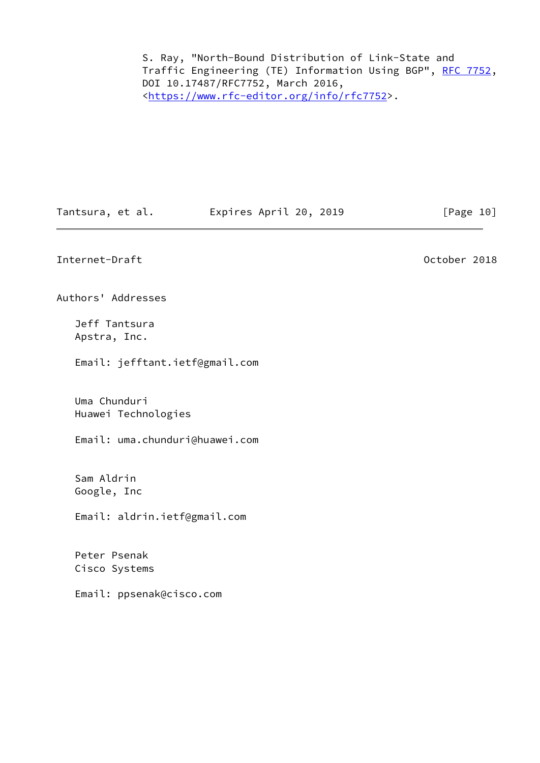S. Ray, "North-Bound Distribution of Link-State and Traffic Engineering (TE) Information Using BGP", [RFC 7752,](https://datatracker.ietf.org/doc/pdf/rfc7752) DOI 10.17487/RFC7752, March 2016, <[https://www.rfc-editor.org/info/rfc7752>](https://www.rfc-editor.org/info/rfc7752).

Tantsura, et al. Expires April 20, 2019 [Page 10]

<span id="page-11-0"></span>Internet-Draft **October 2018** 

Authors' Addresses

 Jeff Tantsura Apstra, Inc.

Email: jefftant.ietf@gmail.com

 Uma Chunduri Huawei Technologies

Email: uma.chunduri@huawei.com

 Sam Aldrin Google, Inc

Email: aldrin.ietf@gmail.com

 Peter Psenak Cisco Systems

Email: ppsenak@cisco.com